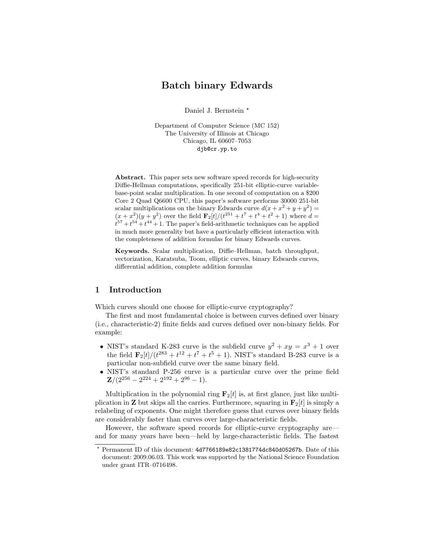# Batch binary Edwards

Daniel J. Bernstein \*

Department of Computer Science (MC 152) The University of Illinois at Chicago Chicago, IL 60607–7053 djb@cr.yp.to

Abstract. This paper sets new software speed records for high-security Diffie-Hellman computations, specifically 251-bit elliptic-curve variablebase-point scalar multiplication. In one second of computation on a \$200 Core 2 Quad Q6600 CPU, this paper's software performs 30000 251-bit scalar multiplications on the binary Edwards curve  $d(x + x^2 + y + y^2) =$  $(x+x^2)(y+y^2)$  over the field  $\mathbf{F}_2[t]/(t^{251}+t^7+t^4+t^2+1)$  where  $d=$  $t^{57} + t^{54} + t^{44} + 1$ . The paper's field-arithmetic techniques can be applied in much more generality but have a particularly efficient interaction with the completeness of addition formulas for binary Edwards curves.

Keywords. Scalar multiplication, Diffie–Hellman, batch throughput, vectorization, Karatsuba, Toom, elliptic curves, binary Edwards curves, differential addition, complete addition formulas

## 1 Introduction

Which curves should one choose for elliptic-curve cryptography?

The first and most fundamental choice is between curves defined over binary (i.e., characteristic-2) finite fields and curves defined over non-binary fields. For example:

- NIST's standard K-283 curve is the subfield curve  $y^2 + xy = x^3 + 1$  over the field  $\mathbf{F}_{2}[t]/(t^{283} + t^{12} + t^7 + t^5 + 1)$ . NIST's standard B-283 curve is a particular non-subfield curve over the same binary field.
- NIST's standard P-256 curve is a particular curve over the prime field  $\mathbf{Z}/(2^{256} - 2^{224} + 2^{192} + 2^{96} - 1).$

Multiplication in the polynomial ring  $\mathbf{F}_2[t]$  is, at first glance, just like multiplication in **Z** but skips all the carries. Furthermore, squaring in  $\mathbf{F}_2[t]$  is simply a relabeling of exponents. One might therefore guess that curves over binary fields are considerably faster than curves over large-characteristic fields.

However, the software speed records for elliptic-curve cryptography are and for many years have been—held by large-characteristic fields. The fastest

<sup>?</sup> Permanent ID of this document: 4d7766189e82c1381774dc840d05267b. Date of this document: 2009.06.03. This work was supported by the National Science Foundation under grant ITR–0716498.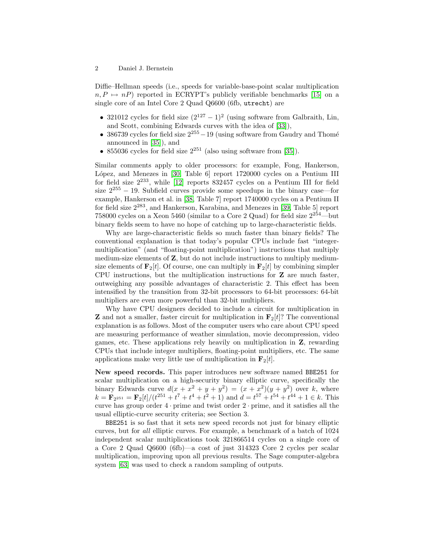Diffie–Hellman speeds (i.e., speeds for variable-base-point scalar multiplication  $n, P \mapsto nP$ ) reported in ECRYPT's publicly verifiable benchmarks [\[15\]](#page-16-0) on a single core of an Intel Core 2 Quad Q6600 (6fb, utrecht) are

- <span id="page-1-3"></span><span id="page-1-1"></span>• 321012 cycles for field size  $(2^{127} – 1)^2$  (using software from Galbraith, Lin, and Scott, combining Edwards curves with the idea of [\[33\]](#page-16-1)),
- <span id="page-1-4"></span>• 386739 cycles for field size  $2^{255} - 19$  (using software from Gaudry and Thomé announced in [\[35\]](#page-17-0)), and
- <span id="page-1-5"></span><span id="page-1-2"></span>• 855036 cycles for field size  $2^{251}$  (also using software from [\[35\]](#page-17-0)).

<span id="page-1-6"></span><span id="page-1-0"></span>Similar comments apply to older processors: for example, Fong, Hankerson, López, and Menezes in [\[30,](#page-16-2) Table 6] report 1720000 cycles on a Pentium III for field size  $2^{233}$ , while [\[12\]](#page-16-3) reports 832457 cycles on a Pentium III for field size  $2^{255} - 19$ . Subfield curves provide some speedups in the binary case—for example, Hankerson et al. in [\[38,](#page-17-1) Table 7] report 1740000 cycles on a Pentium II for field size 2283, and Hankerson, Karabina, and Menezes in [\[39,](#page-17-2) Table 5] report 758000 cycles on a Xeon 5460 (similar to a Core 2 Quad) for field size  $2^{254}$ —but binary fields seem to have no hope of catching up to large-characteristic fields.

<span id="page-1-7"></span>Why are large-characteristic fields so much faster than binary fields? The conventional explanation is that today's popular CPUs include fast "integermultiplication" (and "floating-point multiplication") instructions that multiply medium-size elements of Z, but do not include instructions to multiply mediumsize elements of  $\mathbf{F}_2[t]$ . Of course, one can multiply in  $\mathbf{F}_2[t]$  by combining simpler CPU instructions, but the multiplication instructions for  $Z$  are much faster, outweighing any possible advantages of characteristic 2. This effect has been intensified by the transition from 32-bit processors to 64-bit processors: 64-bit multipliers are even more powerful than 32-bit multipliers.

Why have CPU designers decided to include a circuit for multiplication in **Z** and not a smaller, faster circuit for multiplication in  $\mathbf{F}_2[t]$ ? The conventional explanation is as follows. Most of the computer users who care about CPU speed are measuring performance of weather simulation, movie decompression, video games, etc. These applications rely heavily on multiplication in Z, rewarding CPUs that include integer multipliers, floating-point multipliers, etc. The same applications make very little use of multiplication in  $\mathbf{F}_2[t]$ .

New speed records. This paper introduces new software named BBE251 for scalar multiplication on a high-security binary elliptic curve, specifically the binary Edwards curve  $d(x+x^2+y+y^2) = (x+x^2)(y+y^2)$  over k, where  $k = \mathbf{F}_{2^{251}} = \mathbf{F}_{2}[t]/(t^{251} + t^7 + t^4 + t^2 + 1)$  and  $d = t^{57} + t^{54} + t^{44} + 1 \in k$ . This curve has group order  $4 \cdot$  prime and twist order  $2 \cdot$  prime, and it satisfies all the usual elliptic-curve security criteria; see Section 3.

<span id="page-1-8"></span>BBE251 is so fast that it sets new speed records not just for binary elliptic curves, but for all elliptic curves. For example, a benchmark of a batch of 1024 independent scalar multiplications took 321866514 cycles on a single core of a Core 2 Quad Q6600 (6fb)—a cost of just 314323 Core 2 cycles per scalar multiplication, improving upon all previous results. The Sage computer-algebra system [\[63\]](#page-17-3) was used to check a random sampling of outputs.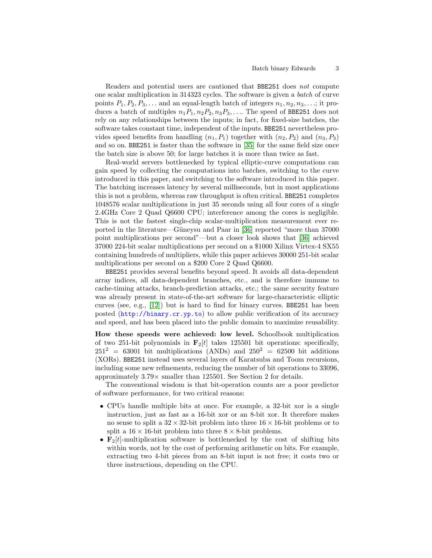Readers and potential users are cautioned that BBE251 does not compute one scalar multiplication in 314323 cycles. The software is given a batch of curve points  $P_1, P_2, P_3, \ldots$  and an equal-length batch of integers  $n_1, n_2, n_3, \ldots$ ; it produces a batch of multiples  $n_1P_1$ ,  $n_2P_2$ ,  $n_3P_3$ , .... The speed of BBE251 does not rely on any relationships between the inputs; in fact, for fixed-size batches, the software takes constant time, independent of the inputs. BBE251 nevertheless provides speed benefits from handling  $(n_1, P_1)$  together with  $(n_2, P_2)$  and  $(n_3, P_3)$ and so on. BBE251 is faster than the software in [\[35\]](#page-17-0) for the same field size once the batch size is above 50; for large batches it is more than twice as fast.

<span id="page-2-1"></span>Real-world servers bottlenecked by typical elliptic-curve computations can gain speed by collecting the computations into batches, switching to the curve introduced in this paper, and switching to the software introduced in this paper. The batching increases latency by several milliseconds, but in most applications this is not a problem, whereas raw throughput is often critical. BBE251 completes 1048576 scalar multiplications in just 35 seconds using all four cores of a single 2.4GHz Core 2 Quad Q6600 CPU; interference among the cores is negligible. This is not the fastest single-chip scalar-multiplication measurement ever re-ported in the literature—Güneysu and Paar in [\[36\]](#page-17-4) reported "more than 37000 point multiplications per second"—but a closer look shows that [\[36\]](#page-17-4) achieved 37000 224-bit scalar multiplications per second on a \$1000 Xilinx Virtex-4 SX55 containing hundreds of multipliers, while this paper achieves 30000 251-bit scalar multiplications per second on a \$200 Core 2 Quad Q6600.

<span id="page-2-3"></span><span id="page-2-2"></span><span id="page-2-0"></span>BBE251 provides several benefits beyond speed. It avoids all data-dependent array indices, all data-dependent branches, etc., and is therefore immune to cache-timing attacks, branch-prediction attacks, etc.; the same security feature was already present in state-of-the-art software for large-characteristic elliptic curves (see, e.g., [\[12\]](#page-16-3)) but is hard to find for binary curves. BBE251 has been posted (<http://binary.cr.yp.to>) to allow public verification of its accuracy and speed, and has been placed into the public domain to maximize reusability.

How these speeds were achieved: low level. Schoolbook multiplication of two 251-bit polynomials in  $\mathbf{F}_2[t]$  takes 125501 bit operations: specifically,  $251^2 = 63001$  bit multiplications (ANDs) and  $250^2 = 62500$  bit additions (XORs). BBE251 instead uses several layers of Karatsuba and Toom recursions, including some new refinements, reducing the number of bit operations to 33096, approximately  $3.79\times$  smaller than 125501. See Section 2 for details.

The conventional wisdom is that bit-operation counts are a poor predictor of software performance, for two critical reasons:

- CPUs handle multiple bits at once. For example, a 32-bit xor is a single instruction, just as fast as a 16-bit xor or an 8-bit xor. It therefore makes no sense to split a  $32 \times 32$ -bit problem into three  $16 \times 16$ -bit problems or to split a  $16 \times 16$ -bit problem into three  $8 \times 8$ -bit problems.
- $\mathbf{F}_2[t]$ -multiplication software is bottlenecked by the cost of shifting bits within words, not by the cost of performing arithmetic on bits. For example, extracting two 4-bit pieces from an 8-bit input is not free; it costs two or three instructions, depending on the CPU.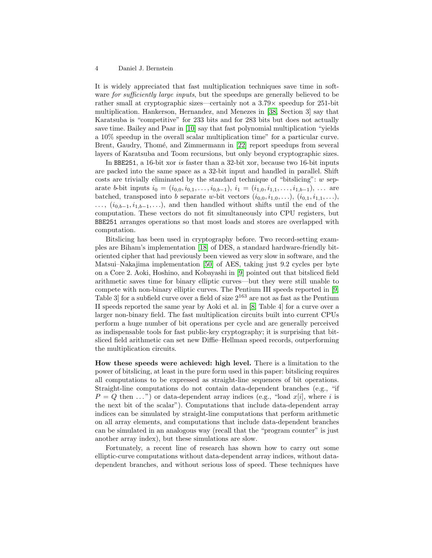<span id="page-3-6"></span>It is widely appreciated that fast multiplication techniques save time in software *for sufficiently large inputs*, but the speedups are generally believed to be rather small at cryptographic sizes—certainly not a 3.79× speedup for 251-bit multiplication. Hankerson, Hernandez, and Menezes in [\[38,](#page-17-1) Section 3] say that Karatsuba is "competitive" for 233 bits and for 283 bits but does not actually save time. Bailey and Paar in [\[10\]](#page-16-4) say that fast polynomial multiplication "yields a 10% speedup in the overall scalar multiplication time" for a particular curve. Brent, Gaudry, Thomé, and Zimmermann in [\[22\]](#page-16-5) report speedups from several layers of Karatsuba and Toom recursions, but only beyond cryptographic sizes.

<span id="page-3-5"></span><span id="page-3-3"></span>In BBE251, a 16-bit xor is faster than a 32-bit xor, because two 16-bit inputs are packed into the same space as a 32-bit input and handled in parallel. Shift costs are trivially eliminated by the standard technique of "bitslicing":  $w$  separate b-bit inputs  $i_0 = (i_{0,0}, i_{0,1}, \ldots, i_{0,b-1}), i_1 = (i_{1,0}, i_{1,1}, \ldots, i_{1,b-1}), \ldots$  are batched, transposed into b separate w-bit vectors  $(i_{0,0}, i_{1,0}, \ldots), (i_{0,1}, i_{1,1}, \ldots)$ ,  $\ldots$ ,  $(i_{0,b-1}, i_{1,b-1}, \ldots)$ , and then handled without shifts until the end of the computation. These vectors do not fit simultaneously into CPU registers, but BBE251 arranges operations so that most loads and stores are overlapped with computation.

<span id="page-3-7"></span><span id="page-3-4"></span><span id="page-3-2"></span><span id="page-3-1"></span>Bitslicing has been used in cryptography before. Two record-setting examples are Biham's implementation [\[18\]](#page-16-6) of DES, a standard hardware-friendly bitoriented cipher that had previously been viewed as very slow in software, and the Matsui–Nakajima implementation [\[50\]](#page-17-5) of AES, taking just 9.2 cycles per byte on a Core 2. Aoki, Hoshino, and Kobayashi in [\[9\]](#page-16-7) pointed out that bitsliced field arithmetic saves time for binary elliptic curves—but they were still unable to compete with non-binary elliptic curves. The Pentium III speeds reported in [\[9,](#page-16-7) Table 3 for a subfield curve over a field of size  $2^{163}$  are not as fast as the Pentium II speeds reported the same year by Aoki et al. in [\[8,](#page-16-8) Table 4] for a curve over a larger non-binary field. The fast multiplication circuits built into current CPUs perform a huge number of bit operations per cycle and are generally perceived as indispensable tools for fast public-key cryptography; it is surprising that bitsliced field arithmetic can set new Diffie–Hellman speed records, outperforming the multiplication circuits.

<span id="page-3-0"></span>How these speeds were achieved: high level. There is a limitation to the power of bitslicing, at least in the pure form used in this paper: bitslicing requires all computations to be expressed as straight-line sequences of bit operations. Straight-line computations do not contain data-dependent branches (e.g., "if  $P = Q$  then ...") or data-dependent array indices (e.g., "load  $x[i]$ , where i is the next bit of the scalar"). Computations that include data-dependent array indices can be simulated by straight-line computations that perform arithmetic on all array elements, and computations that include data-dependent branches can be simulated in an analogous way (recall that the "program counter" is just another array index), but these simulations are slow.

Fortunately, a recent line of research has shown how to carry out some elliptic-curve computations without data-dependent array indices, without datadependent branches, and without serious loss of speed. These techniques have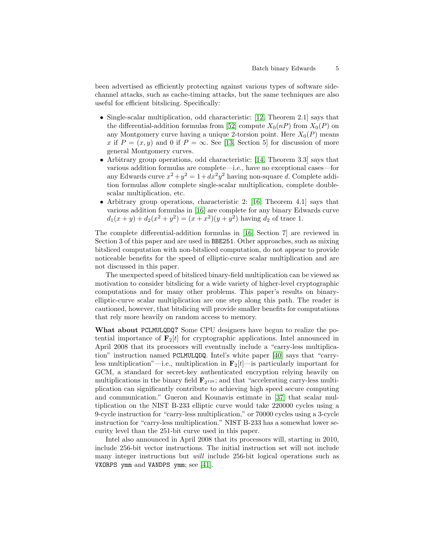been advertised as efficiently protecting against various types of software sidechannel attacks, such as cache-timing attacks, but the same techniques are also useful for efficient bitslicing. Specifically:

- <span id="page-4-9"></span><span id="page-4-0"></span>• Single-scalar multiplication, odd characteristic: [\[12,](#page-16-3) Theorem 2.1] says that the differential-addition formulas from [\[52\]](#page-17-6) compute  $X_0(nP)$  from  $X_0(P)$  on any Montgomery curve having a unique 2-torsion point. Here  $X_0(P)$  means x if  $P = (x, y)$  and 0 if  $P = \infty$ . See [\[13,](#page-16-9) Section 5] for discussion of more general Montgomery curves.
- <span id="page-4-2"></span><span id="page-4-1"></span>• Arbitrary group operations, odd characteristic: [\[14,](#page-16-10) Theorem 3.3] says that various addition formulas are complete—i.e., have no exceptional cases—for any Edwards curve  $x^2 + y^2 = 1 + dx^2y^2$  having non-square d. Complete addition formulas allow complete single-scalar multiplication, complete doublescalar multiplication, etc.
- <span id="page-4-5"></span><span id="page-4-4"></span><span id="page-4-3"></span>• Arbitrary group operations, characteristic 2: [\[16,](#page-16-11) Theorem 4.1] says that various addition formulas in [\[16\]](#page-16-11) are complete for any binary Edwards curve  $d_1(x+y) + d_2(x^2+y^2) = (x+x^2)(y+y^2)$  having  $d_2$  of trace 1.

The complete differential-addition formulas in [\[16,](#page-16-11) Section 7] are reviewed in Section 3 of this paper and are used in BBE251. Other approaches, such as mixing bitsliced computation with non-bitsliced computation, do not appear to provide noticeable benefits for the speed of elliptic-curve scalar multiplication and are not discussed in this paper.

The unexpected speed of bitsliced binary-field multiplication can be viewed as motivation to consider bitslicing for a wide variety of higher-level cryptographic computations and for many other problems. This paper's results on binaryelliptic-curve scalar multiplication are one step along this path. The reader is cautioned, however, that bitslicing will provide smaller benefits for computations that rely more heavily on random access to memory.

<span id="page-4-7"></span>What about PCLMULQDQ? Some CPU designers have begun to realize the potential importance of  $\mathbf{F}_2[t]$  for cryptographic applications. Intel announced in April 2008 that its processors will eventually include a "carry-less multiplication" instruction named PCLMULQDQ. Intel's white paper [\[40\]](#page-17-7) says that "carryless multiplication"—i.e., multiplication in  $\mathbf{F}_2[t]$ —is particularly important for GCM, a standard for secret-key authenticated encryption relying heavily on multiplications in the binary field  $\mathbf{F}_{2^{128}}$ ; and that "accelerating carry-less multiplication can significantly contribute to achieving high speed secure computing and communication." Gueron and Kounavis estimate in [\[37\]](#page-17-8) that scalar multiplication on the NIST B-233 elliptic curve would take 220000 cycles using a 9-cycle instruction for "carry-less multiplication," or 70000 cycles using a 3-cycle instruction for "carry-less multiplication." NIST B-233 has a somewhat lower security level than the 251-bit curve used in this paper.

<span id="page-4-8"></span><span id="page-4-6"></span>Intel also announced in April 2008 that its processors will, starting in 2010, include 256-bit vector instructions. The initial instruction set will not include many integer instructions but will include 256-bit logical operations such as VXORPS ymm and VANDPS ymm; see [\[41\]](#page-17-9).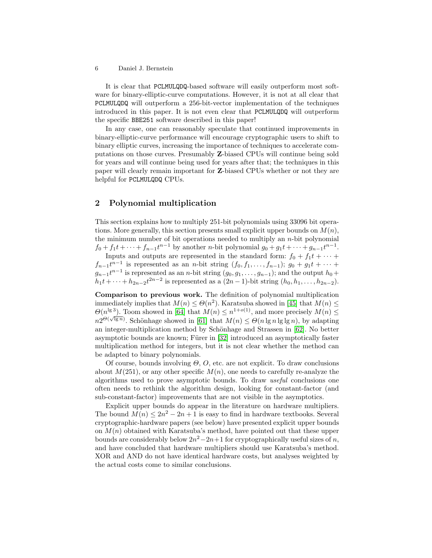It is clear that PCLMULQDQ-based software will easily outperform most software for binary-elliptic-curve computations. However, it is not at all clear that PCLMULQDQ will outperform a 256-bit-vector implementation of the techniques introduced in this paper. It is not even clear that PCLMULQDQ will outperform the specific BBE251 software described in this paper!

In any case, one can reasonably speculate that continued improvements in binary-elliptic-curve performance will encourage cryptographic users to shift to binary elliptic curves, increasing the importance of techniques to accelerate computations on those curves. Presumably Z-biased CPUs will continue being sold for years and will continue being used for years after that; the techniques in this paper will clearly remain important for Z-biased CPUs whether or not they are helpful for PCLMULQDQ CPUs.

## 2 Polynomial multiplication

This section explains how to multiply 251-bit polynomials using 33096 bit operations. More generally, this section presents small explicit upper bounds on  $M(n)$ , the minimum number of bit operations needed to multiply an  $n$ -bit polynomial  $f_0 + f_1 t + \cdots + f_{n-1} t^{n-1}$  by another *n*-bit polynomial  $g_0 + g_1 t + \cdots + g_{n-1} t^{n-1}$ .

Inputs and outputs are represented in the standard form:  $f_0 + f_1 t + \cdots$  $f_{n-1}t^{n-1}$  is represented as an n-bit string  $(f_0, f_1, \ldots, f_{n-1}); g_0 + g_1t + \cdots$  $g_{n-1}t^{n-1}$  is represented as an n-bit string  $(g_0, g_1, \ldots, g_{n-1})$ ; and the output  $h_0$  +  $h_1 t + \cdots + h_{2n-2} t^{2n-2}$  is represented as a  $(2n-1)$ -bit string  $(h_0, h_1, \ldots, h_{2n-2})$ .

<span id="page-5-4"></span><span id="page-5-3"></span><span id="page-5-2"></span><span id="page-5-1"></span>Comparison to previous work. The definition of polynomial multiplication immediately implies that  $M(n) \leq \Theta(n^2)$ . Karatsuba showed in [\[45\]](#page-17-10) that  $M(n) \leq$  $\Theta(n^{\lg 3})$ . Toom showed in [\[64\]](#page-17-11) that  $M(n) \leq n^{1+o(1)}$ , and more precisely  $M(n) \leq$  $n^{2\Theta(\sqrt{\lg n})}$ . Schönhage showed in [\[61\]](#page-17-12) that  $M(n) \leq \Theta(n \lg n \lg \lg n)$ , by adapting an integer-multiplication method by Schönhage and Strassen in [\[62\]](#page-17-13). No better asymptotic bounds are known; Fürer in [\[32\]](#page-16-12) introduced an asymptotically faster multiplication method for integers, but it is not clear whether the method can be adapted to binary polynomials.

<span id="page-5-0"></span>Of course, bounds involving  $\Theta$ ,  $\overline{O}$ , etc. are not explicit. To draw conclusions about  $M(251)$ , or any other specific  $M(n)$ , one needs to carefully re-analyze the algorithms used to prove asymptotic bounds. To draw useful conclusions one often needs to rethink the algorithm design, looking for constant-factor (and sub-constant-factor) improvements that are not visible in the asymptotics.

Explicit upper bounds do appear in the literature on hardware multipliers. The bound  $M(n) \leq 2n^2 - 2n + 1$  is easy to find in hardware textbooks. Several cryptographic-hardware papers (see below) have presented explicit upper bounds on  $M(n)$  obtained with Karatsuba's method, have pointed out that these upper bounds are considerably below  $2n^2 - 2n + 1$  for cryptographically useful sizes of n, and have concluded that hardware multipliers should use Karatsuba's method. XOR and AND do not have identical hardware costs, but analyses weighted by the actual costs come to similar conclusions.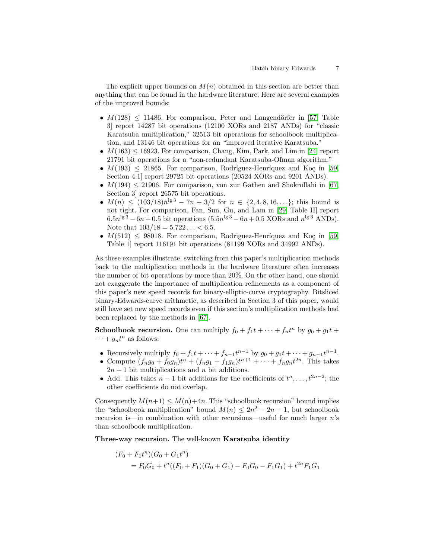The explicit upper bounds on  $M(n)$  obtained in this section are better than anything that can be found in the hardware literature. Here are several examples of the improved bounds:

- <span id="page-6-2"></span>•  $M(128) \leq 11486$ . For comparison, Peter and Langendörfer in [\[57,](#page-17-14) Table 3] report 14287 bit operations (12100 XORs and 2187 ANDs) for "classic Karatsuba multiplication," 32513 bit operations for schoolbook multiplication, and 13146 bit operations for an "improved iterative Karatsuba."
- <span id="page-6-0"></span>•  $M(163) \le 16923$ . For comparison, Chang, Kim, Park, and Lim in [\[24\]](#page-16-13) report 21791 bit operations for a "non-redundant Karatsuba-Ofman algorithm."
- <span id="page-6-3"></span>•  $M(193) \leq 21865$ . For comparison, Rodríguez-Henríquez and Koç in [\[59,](#page-17-15) Section 4.1 report 29725 bit operations (20524 XORs and 9201 ANDs).
- <span id="page-6-5"></span>•  $M(194) \leq 21906$ . For comparison, von zur Gathen and Shokrollahi in [\[67,](#page-17-16) Section 3] report 26575 bit operations.
- <span id="page-6-1"></span>•  $M(n) \leq (103/18)n^{\lg 3} - 7n + 3/2$  for  $n \in \{2, 4, 8, 16, \ldots\};$  this bound is not tight. For comparison, Fan, Sun, Gu, and Lam in [\[29,](#page-16-14) Table II] report  $6.5n^{\lg 3} - 6n + 0.5$  bit operations  $(5.5n^{\lg 3} - 6n + 0.5 \text{ XORs} \text{ and } n^{\lg 3} \text{ ANDs}).$ Note that  $103/18 = 5.722... < 6.5$ .
- <span id="page-6-4"></span>•  $M(512) \leq 98018$ . For comparison, Rodriguez-Henríquez and Koç in [\[59,](#page-17-15) Table 1] report 116191 bit operations (81199 XORs and 34992 ANDs).

As these examples illustrate, switching from this paper's multiplication methods back to the multiplication methods in the hardware literature often increases the number of bit operations by more than 20%. On the other hand, one should not exaggerate the importance of multiplication refinements as a component of this paper's new speed records for binary-elliptic-curve cryptography. Bitsliced binary-Edwards-curve arithmetic, as described in Section 3 of this paper, would still have set new speed records even if this section's multiplication methods had been replaced by the methods in [\[67\]](#page-17-16).

<span id="page-6-6"></span>**Schoolbook recursion.** One can multiply  $f_0 + f_1t + \cdots + f_nt^n$  by  $g_0 + g_1t +$  $\cdots + g_n t^n$  as follows:

- Recursively multiply  $f_0 + f_1 t + \cdots + f_{n-1} t^{n-1}$  by  $g_0 + g_1 t + \cdots + g_{n-1} t^{n-1}$ .
- Compute  $(f_n g_0 + f_0 g_n)t^n + (f_n g_1 + f_1 g_n)t^{n+1} + \cdots + f_n g_n t^{2n}$ . This takes  $2n + 1$  bit multiplications and n bit additions.
- Add. This takes  $n-1$  bit additions for the coefficients of  $t^n, \ldots, t^{2n-2}$ ; the other coefficients do not overlap.

Consequently  $M(n+1) \leq M(n)+4n$ . This "schoolbook recursion" bound implies the "schoolbook multiplication" bound  $M(n) \leq 2n^2 - 2n + 1$ , but schoolbook recursion is—in combination with other recursions—useful for much larger n's than schoolbook multiplication.

Three-way recursion. The well-known Karatsuba identity

$$
(F_0 + F_1 t^n)(G_0 + G_1 t^n)
$$
  
=  $F_0 G_0 + t^n((F_0 + F_1)(G_0 + G_1) - F_0 G_0 - F_1 G_1) + t^{2n} F_1 G_1$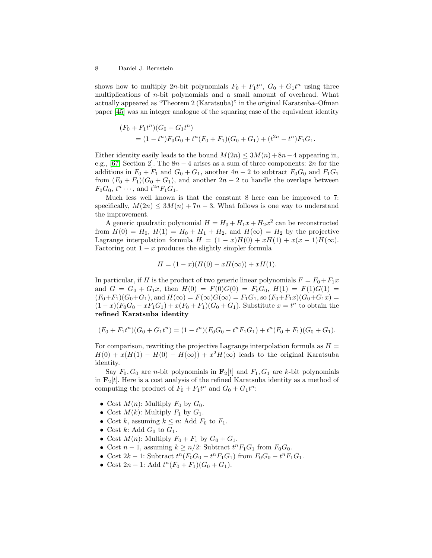shows how to multiply 2*n*-bit polynomials  $F_0 + F_1 t^n$ ,  $G_0 + G_1 t^n$  using three multiplications of  $n$ -bit polynomials and a small amount of overhead. What actually appeared as "Theorem 2 (Karatsuba)" in the original Karatsuba–Ofman paper [\[45\]](#page-17-10) was an integer analogue of the squaring case of the equivalent identity

<span id="page-7-0"></span>
$$
(F_0 + F_1t^n)(G_0 + G_1t^n)
$$
  
=  $(1 - t^n)F_0G_0 + t^n(F_0 + F_1)(G_0 + G_1) + (t^{2n} - t^n)F_1G_1.$ 

<span id="page-7-1"></span>Either identity easily leads to the bound  $M(2n) \leq 3M(n) + 8n-4$  appearing in, e.g., [\[67,](#page-17-16) Section 2]. The  $8n - 4$  arises as a sum of three components: 2n for the additions in  $F_0 + F_1$  and  $G_0 + G_1$ , another  $4n - 2$  to subtract  $F_0G_0$  and  $F_1G_1$ from  $(F_0 + F_1)(G_0 + G_1)$ , and another  $2n - 2$  to handle the overlaps between  $F_0G_0, t^n \cdots$ , and  $t^{2n}F_1G_1$ .

Much less well known is that the constant 8 here can be improved to 7: specifically,  $M(2n) \leq 3M(n) + 7n - 3$ . What follows is one way to understand the improvement.

A generic quadratic polynomial  $H = H_0 + H_1x + H_2x^2$  can be reconstructed from  $H(0) = H_0$ ,  $H(1) = H_0 + H_1 + H_2$ , and  $H(\infty) = H_2$  by the projective Lagrange interpolation formula  $H = (1 - x)H(0) + xH(1) + x(x - 1)H(\infty)$ . Factoring out  $1 - x$  produces the slightly simpler formula

$$
H = (1 - x)(H(0) - xH(\infty)) + xH(1).
$$

In particular, if H is the product of two generic linear polynomials  $F = F_0 + F_1x$ and  $G = G_0 + G_1x$ , then  $H(0) = F(0)G(0) = F_0G_0$ ,  $H(1) = F(1)G(1) =$  $(F_0+F_1)(G_0+G_1)$ , and  $H(\infty) = F(\infty)G(\infty) = F_1G_1$ , so  $(F_0+F_1x)(G_0+G_1x) =$  $(1-x)(F_0G_0 - xF_1G_1) + x(F_0 + F_1)(G_0 + G_1)$ . Substitute  $x = t^n$  to obtain the refined Karatsuba identity

$$
(F_0 + F_1 t^n)(G_0 + G_1 t^n) = (1 - t^n)(F_0 G_0 - t^n F_1 G_1) + t^n (F_0 + F_1)(G_0 + G_1).
$$

For comparison, rewriting the projective Lagrange interpolation formula as  $H =$  $H(0) + x(H(1) - H(0) - H(\infty)) + x^2 H(\infty)$  leads to the original Karatsuba identity.

Say  $F_0, G_0$  are *n*-bit polynomials in  $\mathbf{F}_2[t]$  and  $F_1, G_1$  are *k*-bit polynomials in  $\mathbf{F}_2[t]$ . Here is a cost analysis of the refined Karatsuba identity as a method of computing the product of  $F_0 + F_1 t^n$  and  $G_0 + G_1 t^n$ :

- Cost  $M(n)$ : Multiply  $F_0$  by  $G_0$ .
- Cost  $M(k)$ : Multiply  $F_1$  by  $G_1$ .
- Cost k, assuming  $k \leq n$ : Add  $F_0$  to  $F_1$ .
- Cost k: Add  $G_0$  to  $G_1$ .
- Cost  $M(n)$ : Multiply  $F_0 + F_1$  by  $G_0 + G_1$ .
- Cost  $n-1$ , assuming  $k \geq n/2$ : Subtract  $t^n F_1 G_1$  from  $F_0 G_0$ .
- Cost  $2k 1$ : Subtract  $t^n(F_0G_0 t^nF_1G_1)$  from  $F_0G_0 t^nF_1G_1$ .
- Cost  $2n 1$ : Add  $t^n(F_0 + F_1)(G_0 + G_1)$ .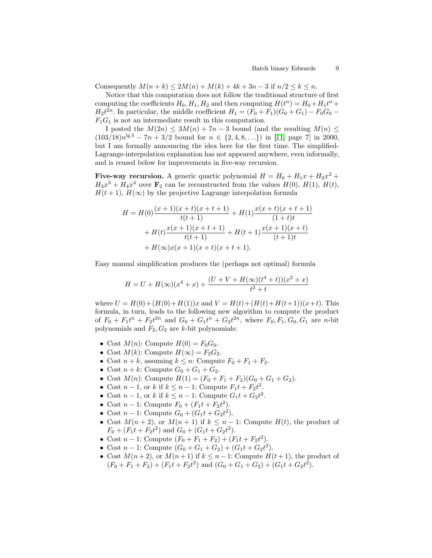Consequently  $M(n+k) \leq 2M(n) + M(k) + 4k + 3n - 3$  if  $n/2 \leq k \leq n$ .

Notice that this computation does not follow the traditional structure of first computing the coefficients  $H_0, H_1, H_2$  and then computing  $H(t^n) = H_0 + H_1 t^n +$  $H_2t^{2n}$ . In particular, the middle coefficient  $H_1 = (F_0 + F_1)(G_0 + G_1) - F_0G_0$  $F_1G_1$  is not an intermediate result in this computation.

I posted the  $M(2n) \leq 3M(n) + 7n - 3$  bound (and the resulting  $M(n) \leq$  $(103/18)n^{\lg 3} - 7n + 3/2$  bound for  $n \in \{2, 4, 8, ...\}$  in [\[11,](#page-16-15) page 7] in 2000, but I am formally announcing the idea here for the first time. The simplified-Lagrange-interpolation explanation has not appeared anywhere, even informally, and is reused below for improvements in five-way recursion.

Five-way recursion. A generic quartic polynomial  $H = H_0 + H_1x + H_2x^2 +$  $H_3x^3 + H_4x^4$  over  $\mathbf{F}_2$  can be reconstructed from the values  $H(0), H(1), H(t)$ ,  $H(t + 1)$ ,  $H(\infty)$  by the projective Lagrange interpolation formula

<span id="page-8-0"></span>
$$
H = H(0) \frac{(x+1)(x+t)(x+t+1)}{t(t+1)} + H(1) \frac{x(x+t)(x+t+1)}{(1+t)t}
$$
  
+ 
$$
H(t) \frac{x(x+1)(x+t+1)}{t(t+1)} + H(t+1) \frac{x(x+1)(x+t)}{(t+1)t}
$$
  
+ 
$$
H(\infty)x(x+1)(x+t)(x+t+1).
$$

Easy manual simplification produces the (perhaps not optimal) formula

$$
H = U + H(\infty)(x^4 + x) + \frac{(U + V + H(\infty)(t^4 + t))(x^2 + x)}{t^2 + t}
$$

where  $U = H(0) + (H(0) + H(1))x$  and  $V = H(t) + (H(t) + H(t+1))(x+t)$ . This formula, in turn, leads to the following new algorithm to compute the product of  $F_0 + F_1t^n + F_2t^{2n}$  and  $G_0 + G_1t^n + G_2t^{2n}$ , where  $F_0, F_1, G_0, G_1$  are *n*-bit polynomials and  $F_2, G_2$  are k-bit polynomials:

- Cost  $M(n)$ : Compute  $H(0) = F_0 G_0$ .
- Cost  $M(k)$ : Compute  $H(\infty) = F_2G_2$ .
- Cost  $n + k$ , assuming  $k \leq n$ : Compute  $F_0 + F_1 + F_2$ .
- Cost  $n + k$ : Compute  $G_0 + G_1 + G_2$ .
- Cost  $M(n)$ : Compute  $H(1) = (F_0 + F_1 + F_2)(G_0 + G_1 + G_2)$ .
- Cost  $n-1$ , or k if  $k \leq n-1$ : Compute  $F_1t + F_2t^2$
- Cost  $n-1$ , or k if  $k \leq n-1$ : Compute  $G_1t + G_2t^2$ .
- Cost  $n-1$ : Compute  $F_0 + (F_1t + F_2t^2)$ .
- Cost  $n-1$ : Compute  $G_0 + (G_1t + G_2t^2)$ .
- Cost  $M(n+2)$ , or  $M(n+1)$  if  $k \leq n-1$ : Compute  $H(t)$ , the product of  $F_0 + (F_1t + F_2t^2)$  and  $G_0 + (G_1t + G_2t^2)$ .

.

- Cost  $n-1$ : Compute  $(F_0 + F_1 + F_2) + (F_1t + F_2t^2)$ .
- Cost  $n-1$ : Compute  $(G_0 + G_1 + G_2) + (G_1t + G_2t^2)$ .
- Cost  $M(n+2)$ , or  $M(n+1)$  if  $k \leq n-1$ : Compute  $H(t+1)$ , the product of  $(F_0 + F_1 + F_2) + (F_1t + F_2t^2)$  and  $(G_0 + G_1 + G_2) + (G_1t + G_2t^2)$ .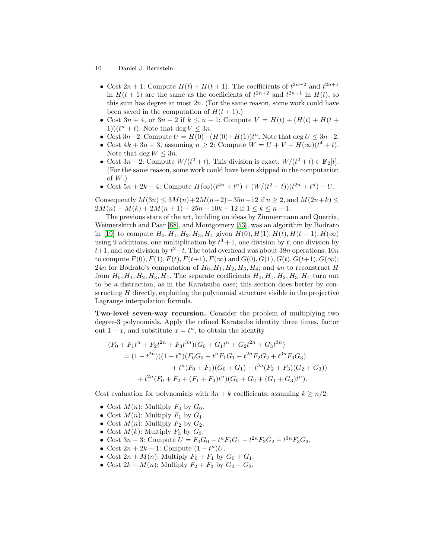- 10 Daniel J. Bernstein
	- Cost  $2n + 1$ : Compute  $H(t) + H(t+1)$ . The coefficients of  $t^{2n+2}$  and  $t^{2n+1}$ in  $H(t+1)$  are the same as the coefficients of  $t^{2n+2}$  and  $t^{2n+1}$  in  $H(t)$ , so this sum has degree at most  $2n$ . (For the same reason, some work could have been saved in the computation of  $H(t + 1)$ .
	- Cost  $3n + 4$ , or  $3n + 2$  if  $k \leq n 1$ : Compute  $V = H(t) + (H(t) + H(t +$ 1)) $(t^n + t)$ . Note that deg  $V \leq 3n$ .
	- Cost  $3n-2$ : Compute  $U = H(0) + (H(0) + H(1))t^n$ . Note that deg  $U \leq 3n-2$ .
	- Cost  $4k + 3n 3$ , assuming  $n \geq 2$ : Compute  $W = U + V + H(\infty)(t^4 + t)$ . Note that deg  $W \leq 3n$ .
	- Cost  $3n-2$ : Compute  $W/(t^2+t)$ . This division is exact:  $W/(t^2+t) \in \mathbf{F}_2[t]$ . (For the same reason, some work could have been skipped in the computation of  $W$ .)
	- Cost  $5n + 2k 4$ : Compute  $H(\infty)(t^{4n} + t^n) + (W/(t^2 + t))(t^{2n} + t^n) + U$ .

Consequently  $M(3n) \leq 3M(n)+2M(n+2)+35n-12$  if  $n \geq 2$ , and  $M(2n+k) \leq$  $2M(n) + M(k) + 2M(n+1) + 25n + 10k - 12$  if  $1 \le k \le n - 1$ .

<span id="page-9-2"></span><span id="page-9-1"></span><span id="page-9-0"></span>The previous state of the art, building on ideas by Zimmermann and Quercia, Weimerskirch and Paar [\[68\]](#page-17-17), and Montgomery [\[53\]](#page-17-18), was an algorithm by Bodrato in [\[19\]](#page-16-16) to compute  $H_0, H_1, H_2, H_3, H_4$  given  $H(0), H(1), H(t), H(t+1), H(\infty)$ using 9 additions, one multiplication by  $t^3 + 1$ , one division by t, one division by  $t+1$ , and one division by  $t^2+t$ . The total overhead was about 38n operations: 10n to compute  $F(0)$ ,  $F(1)$ ,  $F(t)$ ,  $F(t+1)$ ,  $F(\infty)$  and  $G(0)$ ,  $G(1)$ ,  $G(t)$ ,  $G(t+1)$ ,  $G(\infty)$ ; 24n for Bodrato's computation of  $H_0, H_1, H_2, H_3, H_4$ ; and 4n to reconstruct H from  $H_0, H_1, H_2, H_3, H_4$ . The separate coefficients  $H_0, H_1, H_2, H_3, H_4$  turn out to be a distraction, as in the Karatsuba case; this section does better by constructing  $H$  directly, exploiting the polynomial structure visible in the projective Lagrange interpolation formula.

Two-level seven-way recursion. Consider the problem of multiplying two degree-3 polynomials. Apply the refined Karatsuba identity three times, factor out  $1 - x$ , and substitute  $x = t^n$ , to obtain the identity

$$
(F_0 + F_1t^n + F_2t^{2n} + F_3t^{3n})(G_0 + G_1t^n + G_2t^{2n} + G_3t^{3n})
$$
  
=  $(1 - t^{2n})((1 - t^n)(F_0G_0 - t^nF_1G_1 - t^{2n}F_2G_2 + t^{3n}F_3G_3)$   
+  $t^n(F_0 + F_1)(G_0 + G_1) - t^{3n}(F_2 + F_3)(G_2 + G_3))$   
+  $t^{2n}(F_0 + F_2 + (F_1 + F_3)t^n)(G_0 + G_2 + (G_1 + G_3)t^n).$ 

Cost evaluation for polynomials with  $3n + k$  coefficients, assuming  $k \geq n/2$ :

- Cost  $M(n)$ : Multiply  $F_0$  by  $G_0$ .
- Cost  $M(n)$ : Multiply  $F_1$  by  $G_1$ .
- Cost  $M(n)$ : Multiply  $F_2$  by  $G_2$ .
- Cost  $M(k)$ : Multiply  $F_3$  by  $G_3$ .
- Cost  $3n-3$ : Compute  $U = F_0G_0 t^nF_1G_1 t^{2n}F_2G_2 + t^{3n}F_3G_3$ .
- Cost  $2n + 2k 1$ : Compute  $(1 t^n)U$ .
- Cost  $2n + M(n)$ : Multiply  $F_0 + F_1$  by  $G_0 + G_1$ .
- Cost  $2k + M(n)$ : Multiply  $F_2 + F_3$  by  $G_2 + G_3$ .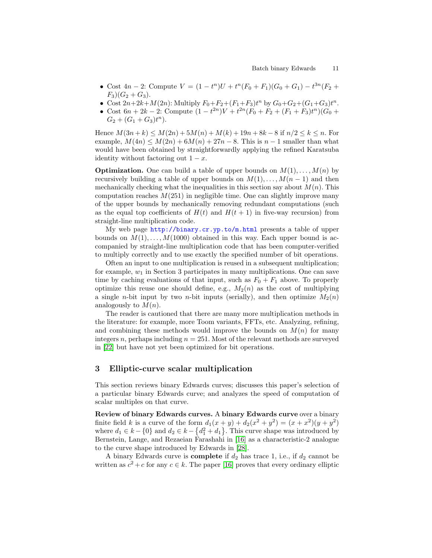- Cost  $4n-2$ : Compute  $V = (1-t^n)U + t^n(F_0 + F_1)(G_0 + G_1) t^{3n}(F_2 +$  $F_3$ )( $G_2 + G_3$ ).
- Cost  $2n+2k+M(2n)$ : Multiply  $F_0+F_2+(F_1+F_3)t^n$  by  $G_0+G_2+(G_1+G_3)t^n$ .
- Cost  $6n + 2k 2$ : Compute  $(1 t^{2n})V + t^{2n}(F_0 + F_2 + (F_1 + F_3)t^n)(G_0 +$  $G_2 + (G_1 + G_3)t^n$ ).

Hence  $M(3n+k) \leq M(2n) + 5M(n) + M(k) + 19n + 8k - 8$  if  $n/2 \leq k \leq n$ . For example,  $M(4n) \leq M(2n) + 6M(n) + 27n - 8$ . This is  $n-1$  smaller than what would have been obtained by straightforwardly applying the refined Karatsuba identity without factoring out  $1 - x$ .

**Optimization.** One can build a table of upper bounds on  $M(1), \ldots, M(n)$  by recursively building a table of upper bounds on  $M(1), \ldots, M(n-1)$  and then mechanically checking what the inequalities in this section say about  $M(n)$ . This computation reaches  $M(251)$  in negligible time. One can slightly improve many of the upper bounds by mechanically removing redundant computations (such as the equal top coefficients of  $H(t)$  and  $H(t + 1)$  in five-way recursion) from straight-line multiplication code.

My web page <http://binary.cr.yp.to/m.html> presents a table of upper bounds on  $M(1), \ldots, M(1000)$  obtained in this way. Each upper bound is accompanied by straight-line multiplication code that has been computer-verified to multiply correctly and to use exactly the specified number of bit operations.

Often an input to one multiplication is reused in a subsequent multiplication; for example,  $w_1$  in Section 3 participates in many multiplications. One can save time by caching evaluations of that input, such as  $F_0 + F_1$  above. To properly optimize this reuse one should define, e.g.,  $M_2(n)$  as the cost of multiplying a single *n*-bit input by two *n*-bit inputs (serially), and then optimize  $M_2(n)$ analogously to  $M(n)$ .

The reader is cautioned that there are many more multiplication methods in the literature: for example, more Toom variants, FFTs, etc. Analyzing, refining, and combining these methods would improve the bounds on  $M(n)$  for many integers n, perhaps including  $n = 251$ . Most of the relevant methods are surveyed in [\[22\]](#page-16-5) but have not yet been optimized for bit operations.

### <span id="page-10-2"></span>3 Elliptic-curve scalar multiplication

This section reviews binary Edwards curves; discusses this paper's selection of a particular binary Edwards curve; and analyzes the speed of computation of scalar multiples on that curve.

Review of binary Edwards curves. A binary Edwards curve over a binary finite field k is a curve of the form  $d_1(x + y) + d_2(x^2 + y^2) = (x + x^2)(y + y^2)$ where  $d_1 \in k - \{0\}$  and  $d_2 \in k - \{d_1^2 + d_1\}$ . This curve shape was introduced by Bernstein, Lange, and Rezaeian Farashahi in [\[16\]](#page-16-11) as a characteristic-2 analogue to the curve shape introduced by Edwards in [\[28\]](#page-16-17).

<span id="page-10-3"></span><span id="page-10-1"></span><span id="page-10-0"></span>A binary Edwards curve is **complete** if  $d_2$  has trace 1, i.e., if  $d_2$  cannot be written as  $c^2 + c$  for any  $c \in k$ . The paper [\[16\]](#page-16-11) proves that every ordinary elliptic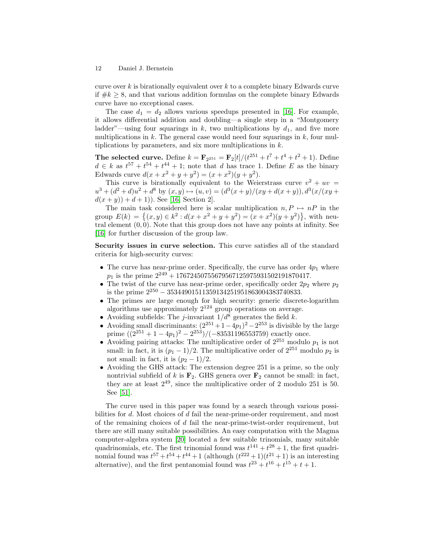curve over k is birationally equivalent over  $k$  to a complete binary Edwards curve if  $#k \geq 8$ , and that various addition formulas on the complete binary Edwards curve have no exceptional cases.

<span id="page-11-0"></span>The case  $d_1 = d_2$  allows various speedups presented in [\[16\]](#page-16-11). For example, it allows differential addition and doubling—a single step in a "Montgomery ladder"—using four squarings in k, two multiplications by  $d_1$ , and five more multiplications in  $k$ . The general case would need four squarings in  $k$ , four multiplications by parameters, and six more multiplications in  $k$ .

**The selected curve.** Define  $k = \mathbf{F}_{2^{251}} = \mathbf{F}_{2}[t]/(t^{251} + t^7 + t^4 + t^2 + 1)$ . Define  $d \in k$  as  $t^{57} + t^{54} + t^{44} + 1$ ; note that d has trace 1. Define E as the binary Edwards curve  $d(x + x^2 + y + y^2) = (x + x^2)(y + y^2)$ .

This curve is birationally equivalent to the Weierstrass curve  $v^2 + uv =$  $u^3 + (d^2 + d)u^2 + d^8$  by  $(x, y) \mapsto (u, v) = (d^3(x + y)/(xy + d(x + y)), d^3(x/(xy + y)))$  $d(x + y) + d + 1$ ). See [\[16,](#page-16-11) Section 2].

<span id="page-11-1"></span>The main task considered here is scalar multiplication  $n, P \mapsto nP$  in the group  $E(k) = \{(x, y) \in k^2 : d(x + x^2 + y + y^2) = (x + x^2)(y + y^2)\}\,$ , with neutral element  $(0, 0)$ . Note that this group does not have any points at infinity. See [\[16\]](#page-16-11) for further discussion of the group law.

<span id="page-11-2"></span>Security issues in curve selection. This curve satisfies all of the standard criteria for high-security curves:

- The curve has near-prime order. Specifically, the curve has order  $4p_1$  where  $p_1$  is the prime  $2^{249} + 17672450755679567125975931502191870417$ .
- The twist of the curve has near-prime order, specifically order  $2p_2$  where  $p_2$ is the prime  $2^{250} - 35344901511359134251951863004383740833$ .
- The primes are large enough for high security: generic discrete-logarithm algorithms use approximately  $2^{124}$  group operations on average.
- Avoiding subfields: The *j*-invariant  $1/d^8$  generates the field *k*.
- Avoiding small discriminants:  $(2^{251} + 1 4p_1)^2 2^{253}$  is divisible by the large prime  $((2^{251} + 1 - 4p_1)^2 - 2^{253})/(-83531196553759)$  exactly once.
- Avoiding pairing attacks: The multiplicative order of  $2^{251}$  modulo  $p_1$  is not small: in fact, it is  $(p_1 - 1)/2$ . The multiplicative order of  $2^{251}$  modulo  $p_2$  is not small: in fact, it is  $(p_2 - 1)/2$ .
- Avoiding the GHS attack: The extension degree 251 is a prime, so the only nontrivial subfield of k is  $\mathbf{F}_2$ . GHS genera over  $\mathbf{F}_2$  cannot be small: in fact, they are at least  $2^{49}$ , since the multiplicative order of 2 modulo 251 is 50. See [\[51\]](#page-17-19).

<span id="page-11-4"></span><span id="page-11-3"></span>The curve used in this paper was found by a search through various possibilities for d. Most choices of d fail the near-prime-order requirement, and most of the remaining choices of  $d$  fail the near-prime-twist-order requirement, but there are still many suitable possibilities. An easy computation with the Magma computer-algebra system [\[20\]](#page-16-18) located a few suitable trinomials, many suitable quadrinomials, etc. The first trinomial found was  $t^{141} + t^{28} + 1$ , the first quadrinomial found was  $t^{57} + t^{54} + t^{44} + 1$  (although  $(t^{222} + 1)(t^{21} + 1)$  is an interesting alternative), and the first pentanomial found was  $t^{23} + t^{16} + t^{15} + t + 1$ .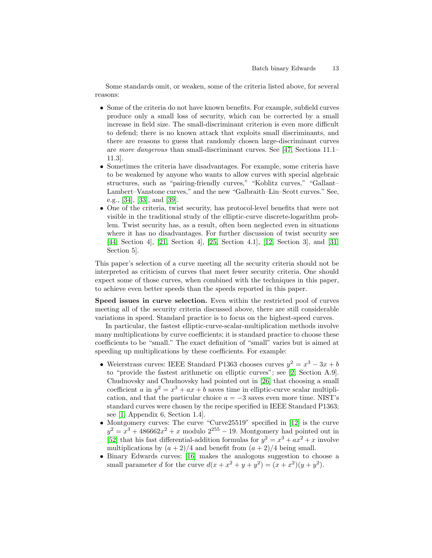Some standards omit, or weaken, some of the criteria listed above, for several reasons:

- Some of the criteria do not have known benefits. For example, subfield curves produce only a small loss of security, which can be corrected by a small increase in field size. The small-discriminant criterion is even more difficult to defend; there is no known attack that exploits small discriminants, and there are reasons to guess that randomly chosen large-discriminant curves are more dangerous than small-discriminant curves. See [\[47,](#page-17-20) Sections 11.1– 11.3].
- <span id="page-12-13"></span>• Sometimes the criteria have disadvantages. For example, some criteria have to be weakened by anyone who wants to allow curves with special algebraic structures, such as "pairing-friendly curves," "Koblitz curves," "Gallant– Lambert–Vanstone curves," and the new "Galbraith–Lin–Scott curves." See, e.g., [\[34\]](#page-16-19), [\[33\]](#page-16-1), and [\[39\]](#page-17-2).
- <span id="page-12-11"></span><span id="page-12-10"></span><span id="page-12-9"></span><span id="page-12-8"></span><span id="page-12-6"></span><span id="page-12-5"></span><span id="page-12-2"></span>• One of the criteria, twist security, has protocol-level benefits that were not visible in the traditional study of the elliptic-curve discrete-logarithm problem. Twist security has, as a result, often been neglected even in situations where it has no disadvantages. For further discussion of twist security see [\[44,](#page-17-21) Section 4], [\[21,](#page-16-20) Section 4], [\[25,](#page-16-21) Section 4.1], [\[12,](#page-16-3) Section 3], and [\[31,](#page-16-22) Section 5].

<span id="page-12-12"></span>This paper's selection of a curve meeting all the security criteria should not be interpreted as criticism of curves that meet fewer security criteria. One should expect some of those curves, when combined with the techniques in this paper, to achieve even better speeds than the speeds reported in this paper.

Speed issues in curve selection. Even within the restricted pool of curves meeting all of the security criteria discussed above, there are still considerable variations in speed. Standard practice is to focus on the highest-speed curves.

In particular, the fastest elliptic-curve-scalar-multiplication methods involve many multiplications by curve coefficients; it is standard practice to choose these coefficients to be "small." The exact definition of "small" varies but is aimed at speeding up multiplications by these coefficients. For example:

- <span id="page-12-7"></span><span id="page-12-1"></span>• Weierstrass curves: IEEE Standard P1363 chooses curves  $y^2 = x^3 - 3x + b$ to "provide the fastest arithmetic on elliptic curves"; see [\[2,](#page-16-23) Section A.9]. Chudnovsky and Chudnovsky had pointed out in [\[26\]](#page-16-24) that choosing a small coefficient a in  $y^2 = x^3 + ax + b$  saves time in elliptic-curve scalar multiplication, and that the particular choice  $a = -3$  saves even more time. NIST's standard curves were chosen by the recipe specified in IEEE Standard P1363; see [\[1,](#page-16-25) Appendix 6, Section 1.4].
- <span id="page-12-14"></span><span id="page-12-3"></span><span id="page-12-0"></span>• Montgomery curves: The curve "Curve25519" specified in [\[12\]](#page-16-3) is the curve  $y^2 = x^3 + 486662x^2 + x$  modulo  $2^{255} - 19$ . Montgomery had pointed out in [\[52\]](#page-17-6) that his fast differential-addition formulas for  $y^2 = x^3 + ax^2 + x$  involve multiplications by  $(a+2)/4$  and benefit from  $(a+2)/4$  being small.
- <span id="page-12-4"></span>• Binary Edwards curves: [\[16\]](#page-16-11) makes the analogous suggestion to choose a small parameter d for the curve  $d(x + x^2 + y + y^2) = (x + x^2)(y + y^2)$ .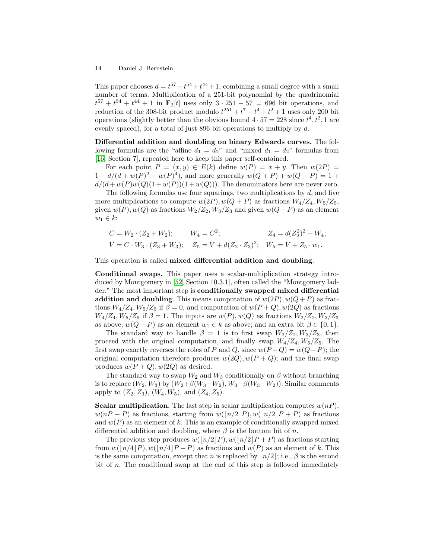This paper chooses  $d = t^{57} + t^{54} + t^{44} + 1$ , combining a small degree with a small number of terms. Multiplication of a 251-bit polynomial by the quadrinomial  $t^{57} + t^{54} + t^{44} + 1$  in  $\mathbf{F}_2[t]$  uses only  $3 \cdot 251 - 57 = 696$  bit operations, and reduction of the 308-bit product modulo  $t^{251} + t^7 + t^4 + t^2 + 1$  uses only 200 bit operations (slightly better than the obvious bound  $4 \cdot 57 = 228$  since  $t^4, t^2, 1$  are evenly spaced), for a total of just 896 bit operations to multiply by d.

Differential addition and doubling on binary Edwards curves. The following formulas are the "affine  $d_1 = d_2$ " and "mixed  $d_1 = d_2$ " formulas from [\[16,](#page-16-11) Section 7], repeated here to keep this paper self-contained.

<span id="page-13-0"></span>For each point  $P = (x, y) \in E(k)$  define  $w(P) = x + y$ . Then  $w(2P) =$  $1 + d/(d+w(P)^2 + w(P)^4)$ , and more generally  $w(Q + P) + w(Q - P) = 1 +$  $d/(d+w(P)w(Q)(1+w(P))(1+w(Q))).$  The denominators here are never zero.

The following formulas use four squarings, two multiplications by  $d$ , and five more multiplications to compute  $w(2P), w(Q + P)$  as fractions  $W_4/Z_4, W_5/Z_5$ , given  $w(P), w(Q)$  as fractions  $W_2/Z_2, W_3/Z_3$  and given  $w(Q-P)$  as an element  $w_1 \in k$ :

$$
C = W_2 \cdot (Z_2 + W_2); \qquad W_4 = C^2; \qquad Z_4 = d(Z_2^2)^2 + W_4; V = C \cdot W_3 \cdot (Z_3 + W_3); \quad Z_5 = V + d(Z_2 \cdot Z_3)^2; \quad W_5 = V + Z_5 \cdot w_1.
$$

This operation is called mixed differential addition and doubling.

<span id="page-13-1"></span>Conditional swaps. This paper uses a scalar-multiplication strategy introduced by Montgomery in [\[52,](#page-17-6) Section 10.3.1], often called the "Montgomery ladder." The most important step is conditionally swapped mixed differential addition and doubling. This means computation of  $w(2P), w(Q + P)$  as fractions  $W_4/Z_4$ ,  $W_5/Z_5$  if  $\beta = 0$ , and computation of  $w(P+Q)$ ,  $w(2Q)$  as fractions  $W_4/Z_4, W_5/Z_5$  if  $\beta = 1$ . The inputs are  $w(P), w(Q)$  as fractions  $W_2/Z_2, W_3/Z_3$ as above;  $w(Q - P)$  as an element  $w_1 \in k$  as above; and an extra bit  $\beta \in \{0, 1\}.$ 

The standard way to handle  $\beta = 1$  is to first swap  $W_2/Z_2, W_3/Z_3$ , then proceed with the original computation, and finally swap  $W_4/Z_4, W_5/Z_5$ . The first swap exactly reverses the roles of P and Q, since  $w(P-Q) = w(Q-P)$ ; the original computation therefore produces  $w(2Q), w(P+Q)$ ; and the final swap produces  $w(P+Q), w(2Q)$  as desired.

The standard way to swap  $W_2$  and  $W_3$  conditionally on  $\beta$  without branching is to replace  $(W_2, W_3)$  by  $(W_2+\beta(W_3-W_2), W_3-\beta(W_3-W_2))$ . Similar comments apply to  $(Z_2, Z_3)$ ,  $(W_4, W_5)$ , and  $(Z_4, Z_5)$ .

**Scalar multiplication.** The last step in scalar multiplication computes  $w(nP)$ ,  $w(nP + P)$  as fractions, starting from  $w(|n/2|P)$ ,  $w(|n/2|P + P)$  as fractions and  $w(P)$  as an element of k. This is an example of conditionally swapped mixed differential addition and doubling, where  $\beta$  is the bottom bit of n.

The previous step produces  $w(|n/2|P)$ ,  $w(|n/2|P + P)$  as fractions starting from  $w(\lfloor n/4\rfloor P), w(\lfloor n/4\rfloor P + P)$  as fractions and  $w(P)$  as an element of k. This is the same computation, except that n is replaced by  $\lfloor n/2 \rfloor$ ; i.e.,  $\beta$  is the second bit of  $n$ . The conditional swap at the end of this step is followed immediately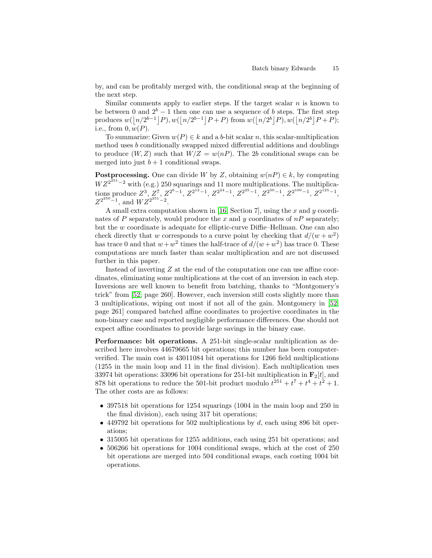by, and can be profitably merged with, the conditional swap at the beginning of the next step.

Similar comments apply to earlier steps. If the target scalar  $n$  is known to be between 0 and  $2<sup>b</sup> - 1$  then one can use a sequence of b steps. The first step produces  $w(|n/2^{b-1}|P)$ ,  $w(|n/2^{b-1}|P+P)$  from  $w(|n/2^b|P)$ ,  $w(|n/2^b|P+P)$ ; i.e., from  $0, w(P)$ .

To summarize: Given  $w(P) \in k$  and a b-bit scalar n, this scalar-multiplication method uses b conditionally swapped mixed differential additions and doublings to produce  $(W, Z)$  such that  $W/Z = w(nP)$ . The 2b conditional swaps can be merged into just  $b + 1$  conditional swaps.

**Postprocessing.** One can divide W by Z, obtaining  $w(nP) \in k$ , by computing  $WZ^{2^{251}-2}$  with (e.g.) 250 squarings and 11 more multiplications. The multiplications produce  $Z^3$ ,  $Z^7$ ,  $Z^{2^6-1}$ ,  $Z^{2^{12}-1}$ ,  $Z^{2^{24}-1}$ ,  $Z^{2^{25}-1}$ ,  $Z^{2^{50}-1}$ ,  $Z^{2^{100}-1}$ ,  $Z^{2^{125}-1}$ ,  $Z^{2^{250}-1}$ , and  $WZ^{2^{251}-2}$ .

<span id="page-14-0"></span>A small extra computation shown in [\[16,](#page-16-11) Section 7], using the  $x$  and  $y$  coordinates of P separately, would produce the x and y coordinates of  $nP$  separately; but the w coordinate is adequate for elliptic-curve Diffie–Hellman. One can also check directly that w corresponds to a curve point by checking that  $d/(w+w^2)$ has trace 0 and that  $w + w^2$  times the half-trace of  $d/(w + w^2)$  has trace 0. These computations are much faster than scalar multiplication and are not discussed further in this paper.

<span id="page-14-2"></span><span id="page-14-1"></span>Instead of inverting Z at the end of the computation one can use affine coordinates, eliminating some multiplications at the cost of an inversion in each step. Inversions are well known to benefit from batching, thanks to "Montgomery's trick" from [\[52,](#page-17-6) page 260]. However, each inversion still costs slightly more than 3 multiplications, wiping out most if not all of the gain. Montgomery in [\[52,](#page-17-6) page 261] compared batched affine coordinates to projective coordinates in the non-binary case and reported negligible performance differences. One should not expect affine coordinates to provide large savings in the binary case.

Performance: bit operations. A 251-bit single-scalar multiplication as described here involves 44679665 bit operations; this number has been computerverified. The main cost is 43011084 bit operations for 1266 field multiplications (1255 in the main loop and 11 in the final division). Each multiplication uses 33974 bit operations: 33096 bit operations for 251-bit multiplication in  $\mathbf{F}_2[t]$ , and 878 bit operations to reduce the 501-bit product modulo  $t^{251} + t^7 + t^4 + t^2 + 1$ . The other costs are as follows:

- 397518 bit operations for 1254 squarings (1004 in the main loop and 250 in the final division), each using 317 bit operations;
- 449792 bit operations for 502 multiplications by  $d$ , each using 896 bit operations;
- 315005 bit operations for 1255 additions, each using 251 bit operations; and
- 506266 bit operations for 1004 conditional swaps, which at the cost of 250 bit operations are merged into 504 conditional swaps, each costing 1004 bit operations.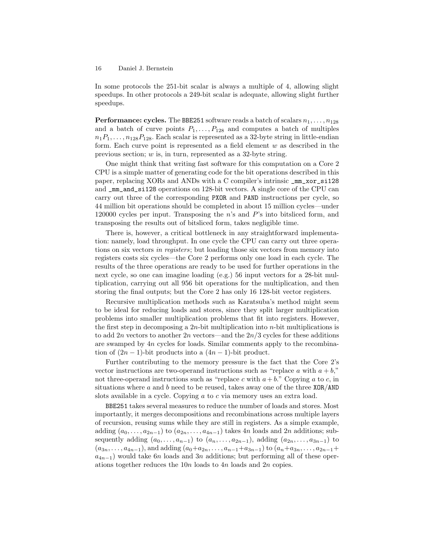In some protocols the 251-bit scalar is always a multiple of 4, allowing slight speedups. In other protocols a 249-bit scalar is adequate, allowing slight further speedups.

**Performance: cycles.** The BBE251 software reads a batch of scalars  $n_1, \ldots, n_{128}$ and a batch of curve points  $P_1, \ldots, P_{128}$  and computes a batch of multiples  $n_1P_1, \ldots, n_{128}P_{128}$ . Each scalar is represented as a 32-byte string in little-endian form. Each curve point is represented as a field element  $w$  as described in the previous section;  $w$  is, in turn, represented as a 32-byte string.

One might think that writing fast software for this computation on a Core 2 CPU is a simple matter of generating code for the bit operations described in this paper, replacing XORs and ANDs with a C compiler's intrinsic \_mm\_xor\_si128 and \_mm\_and\_si128 operations on 128-bit vectors. A single core of the CPU can carry out three of the corresponding PXOR and PAND instructions per cycle, so 44 million bit operations should be completed in about 15 million cycles—under 120000 cycles per input. Transposing the n's and P's into bitsliced form, and transposing the results out of bitsliced form, takes negligible time.

There is, however, a critical bottleneck in any straightforward implementation: namely, load throughput. In one cycle the CPU can carry out three operations on six vectors in registers; but loading those six vectors from memory into registers costs six cycles—the Core 2 performs only one load in each cycle. The results of the three operations are ready to be used for further operations in the next cycle, so one can imagine loading (e.g.) 56 input vectors for a 28-bit multiplication, carrying out all 956 bit operations for the multiplication, and then storing the final outputs; but the Core 2 has only 16 128-bit vector registers.

Recursive multiplication methods such as Karatsuba's method might seem to be ideal for reducing loads and stores, since they split larger multiplication problems into smaller multiplication problems that fit into registers. However, the first step in decomposing a  $2n$ -bit multiplication into n-bit multiplications is to add 2n vectors to another 2n vectors—and the  $2n/3$  cycles for these additions are swamped by 4n cycles for loads. Similar comments apply to the recombination of  $(2n - 1)$ -bit products into a  $(4n - 1)$ -bit product.

Further contributing to the memory pressure is the fact that the Core 2's vector instructions are two-operand instructions such as "replace a with  $a + b$ ," not three-operand instructions such as "replace c with  $a + b$ ." Copying a to c, in situations where  $a$  and  $b$  need to be reused, takes away one of the three XOR/AND slots available in a cycle. Copying a to c via memory uses an extra load.

BBE251 takes several measures to reduce the number of loads and stores. Most importantly, it merges decompositions and recombinations across multiple layers of recursion, reusing sums while they are still in registers. As a simple example, adding  $(a_0, \ldots, a_{2n-1})$  to  $(a_{2n}, \ldots, a_{4n-1})$  takes 4n loads and 2n additions; subsequently adding  $(a_0, \ldots, a_{n-1})$  to  $(a_n, \ldots, a_{2n-1})$ , adding  $(a_{2n}, \ldots, a_{3n-1})$  to  $(a_{3n}, \ldots, a_{4n-1}),$  and adding  $(a_0+a_{2n}, \ldots, a_{n-1}+a_{3n-1})$  to  $(a_n+a_{3n}, \ldots, a_{2n-1}+a_{3n-1})$  $a_{4n-1}$ ) would take 6n loads and 3n additions; but performing all of these operations together reduces the 10n loads to 4n loads and 2n copies.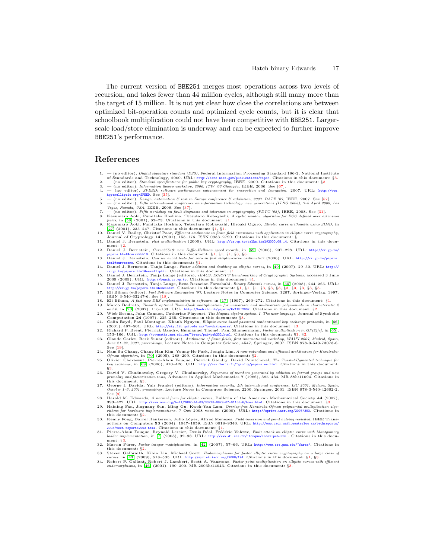The current version of BBE251 merges most operations across two levels of recursion, and takes fewer than 44 million cycles, although still many more than the target of 15 million. It is not yet clear how close the correlations are between optimized bit-operation counts and optimized cycle counts, but it is clear that schoolbook multiplication could not have been competitive with BBE251. Largerscale load/store elimination is underway and can be expected to further improve BBE251's performance.

### References

- <span id="page-16-25"></span>1. — (no editor), Digital signature standard (DSS), Federal Information Processing Standard 186-2, National Institute
- <span id="page-16-45"></span><span id="page-16-34"></span>
- <span id="page-16-23"></span>of Standards and Technology, 2000. URL: <http://csrc.nist.gov/publications/fips/>. Citations in this document: §[3.](#page-12-0)<br>
2. — (no editor), *Standard specifications for public key cryptography*, IEEE, 2000. Citations in this docu
- <span id="page-16-41"></span><span id="page-16-35"></span>6. — (no editor), Fifth international conference on information technology: new generations (ITNG 2008), 7–8 April 2008, Las
- <span id="page-16-33"></span><span id="page-16-8"></span>Vegas, Nevada, USA, IEEE, 2008. See [\[37](#page-17-25)].<br>7. — (no editor), Fifth workshop on fault diagnosis and tolerance in cryptography (FDTC '08), IEEE, 2008. See [[31\]](#page-16-26).<br>8. Kazumaro Aoki, Fumitaka Hoshino, Tetsutaro Kobayashi, *A cy*
- <span id="page-16-42"></span><span id="page-16-32"></span><span id="page-16-7"></span>fields, in [\[58\]](#page-17-26) (200[1](#page-3-2)), 62–73. Citations in this document: §1.<br>
9. Kazumaro Aoki, Fumitaka Hoshino, Tetsutaro Kobayashi, Hiroaki Oguro, *Elliptic curve arithmetic using SIMD*, in<br> [\[27\]](#page-16-27) (2001), 235–247. Citations in this do
- <span id="page-16-4"></span>Journal of Cryptology [1](#page-3-3)4 (2001), 153-176. ISSN 0933-2790. Citations in this document: §1.<br>11. Daniel J. Bernstein, Fast multiplication (2000). URL: <http://cr.yp.to/talks.html#2000.08.14>. Citations in this docu-
- <span id="page-16-15"></span>ment: §[2](#page-8-0).<br>12. Daniel J. Bernstein, *Curve25519: new Diffie-Hellman speed records*, in [69] (2006), 207-228. URL: http://cr.yp.to/
- <span id="page-16-9"></span>
- <span id="page-16-39"></span><span id="page-16-10"></span>
- <span id="page-16-40"></span><span id="page-16-11"></span><span id="page-16-0"></span>
- <span id="page-16-46"></span><span id="page-16-3"></span>[1](#page-4-3)2. Daniel J. Bernstein, Carrestoff) *new Diffie-Hellman speed records*, in [\[69\]](#page-17-27) (2006), 207-228. URL: [http://cr.yp.to/](http://cr.yp.to/papers.html#curve25519)<br>[papers.html#curve25519](http://cr.yp.to/papers.html#curve25519). Citations in this document: §[1,](#page-4-5) §1, §[3,](#page-11-2) §[3.](#page-12-3)<br>1[3](#page-14-0). Daniel J. Bernstein, *Can we*
- <span id="page-16-29"></span><span id="page-16-28"></span><span id="page-16-6"></span>
- <span id="page-16-44"></span><span id="page-16-31"></span><span id="page-16-18"></span>
- <span id="page-16-16"></span>[1](#page-3-4)8. Eli Biham, *A fast new DES implementation in software*, in [\[17\]](#page-16-29) (1997), [2](#page-9-0)60–272. Citations in this document: §1.<br>19. Marco Bodrato, *Towards optimal Toom-Cook multiplication for univariate and multivariate polynomials*
- <span id="page-16-43"></span><span id="page-16-20"></span><span id="page-16-5"></span>[2](#page-10-2)2. Richard P. Brent, Pierrick Gaudry, Emmanuel Thomé, Paul Zimmermann, Faster multiplication in  $GF(2)[x]$ , in [\[65\]](#page-17-31),<br>[1](#page-3-5)53–166. URL: http://wwwaths.anu.edu.au/"brent/pub/pub232.html. Citations in this document: §1, §2.<br>23. Cl
- <span id="page-16-30"></span>See [[19](#page-16-31)]. 24. Nam Su Chang, Chang Han Kim, Young-Ho Park, Jongin Lim, A non-redundant and efficient architecture for Karatsuba-
- <span id="page-16-48"></span><span id="page-16-13"></span>
- <span id="page-16-47"></span><span id="page-16-21"></span>Ofman algorithm, in [\[70\]](#page-17-32) (2005), 288-299. Citations in this document:  $\S$ [2.](#page-6-0)<br>25. Olivier Chevassut, Pierre-Alain Fouque, Pierrick Gaudry, David Pointcheval, The Twist-AUgmented technique for<br>key exchange, in [\[69\]](#page-17-27) (2006), 4
- <span id="page-16-24"></span>26. David V. Chudnovsky, Gregory V. Chudnovsky, Sequences of numbers generated by addition in formal growniality and factorization tests, Advances in Applied Mathematics 7 (1986), 385–434. MR 88h:11094.  $m$  tests, Advances in Applied Mathematics 7 (1986), 385–434. MR 88h:11094. Citations in this document: §[3.](#page-12-7)<br>27. George I. Davida, Yair Frankel (editors), Information security, 4th international conference, ISC 2001, Malaga, Spain,
- <span id="page-16-27"></span>October 1–3, 2001, proceedings, Lecture Notes in Computer Science, 2200, Springer, 2001. ISBN 978-3-540-42662-2.
- <span id="page-16-17"></span>See [[9](#page-16-32)]. 28. Harold M. Edwards, A normal form for elliptic curves, Bulletin of the American Mathematical Society 44 (2007), 393–422. URL: <http://www.ams.org/bull/2007-44-03/S0273-0979-07-01153-6/home.html>. Citations in this document: §[3](#page-10-3).
- <span id="page-16-14"></span>29. Haining Fan, Jiaguang Sun, Ming Gu, Kwok-Yan Lam, Overlap-free Karatsuba-Ofman polynomial multiplication algo-<br>rithms for hardware implementations, 7 Oct 2008 version (2008). URL: <http://eprint.iacr.org/2007/393>. Citat this document: §[2.](#page-6-1)
- <span id="page-16-2"></span>30. Kenny Fong, Darrel Hankerson, Julio López, Alfred Menezes, Field inversion and point halving revisited, IEEE Trans-<br>actions on Computers 53 (2004), [1](#page-1-2)047–1059. ISSN 0018-9340. URL: http://www.cacr.math.uvaterloo.ca/tech
- <span id="page-16-26"></span><span id="page-16-22"></span>ladder implementation, in [\[7\]](#page-16-33) (2008), 92-98. URL: <http://www.di.ens.fr/~fouque/index-pub.html>. Citations in this docu-
- <span id="page-16-12"></span>ment: §[3](#page-12-8).<br>32. Martin Fürer, Faster integer multiplication, in [\[42\]](#page-17-33) (2007), 57–66. URL: <http://www.cse.psu.edu/~furer/>. Citations in
- <span id="page-16-37"></span><span id="page-16-36"></span><span id="page-16-1"></span>this document: §[2.](#page-5-0)<br>
3[3.](#page-12-9) Steven Galbraith, Xibin Lin, Michael Scott, *Endomorphisms for faster elliptic curve cryptography on a large class of*<br>
32. Steven, in [\[43\]](#page-17-34) (2009), 518–535. URL: <http://eprint.iacr.org/2008/194>. Cit
- <span id="page-16-38"></span><span id="page-16-19"></span>